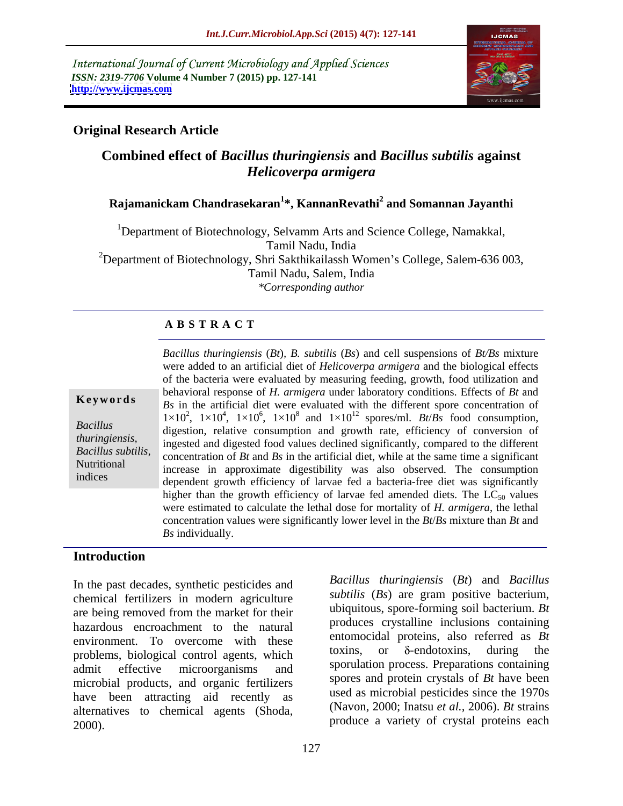International Journal of Current Microbiology and Applied Sciences *ISSN: 2319-7706* **Volume 4 Number 7 (2015) pp. 127-141 <http://www.ijcmas.com>**



# **Original Research Article**

# **Combined effect of** *Bacillus thuringiensis* **and** *Bacillus subtilis* **against**  *Helicoverpa armigera*

# **Rajamanickam Chandrasekaran<sup>1</sup> \*, KannanRevathi<sup>2</sup> and Somannan Jayanthi**

<sup>1</sup>Department of Biotechnology, Selvamm Arts and Science College, Namakkal, Tamil Nadu, India <sup>2</sup>Department of Biotechnology, Shri Sakthikailassh Women's College, Salem-636 003, Tamil Nadu, Salem, India *\*Corresponding author*

### **A B S T R A C T**

indices

*Bacillus thuringiensis* (*Bt*)*, B. subtilis* (*Bs*) and cell suspensions of *Bt/Bs* mixture were added to an artificial diet of *Helicoverpa armigera* and the biological effects of the bacteria were evaluated by measuring feeding, growth, food utilization and behavioral response of *H. armigera* under laboratory conditions. Effects of *Bt* and **Keywords**  $\begin{bmatrix} Bs \\ Bs \end{bmatrix}$  in the artificial diet were evaluated with the different spore concentration of  $1\times10^2$ ,  $1\times10^4$ ,  $1\times10^6$ ,  $1\times10^8$  and  $1\times10^{12}$  spores/ml. *Bt/Bs* food consumption, Bacillus digestion, relative consumption and growth rate, efficiency of conversion of ingested and digested food values declined significantly, compared to the different *thuringiensis,*  concentration of *Bt* and *Bs* in the artificial diet, while at the same time a significant *Bacillus subtilis,*  Nutritional increase in approximate digestibility was also observed. The consumption dependent growth efficiency of larvae fed a bacteria-free diet was significantly higher than the growth efficiency of larvae fed amended diets. The  $LC_{50}$  values were estimated to calculate the lethal dose for mortality of *H. armigera*, the lethal concentration values were significantly lower level in the *Bt*/*Bs* mixture than *Bt* and *Bs* individually.

### **Introduction**

In the past decades, synthetic pesticides and chemical fertilizers in modern agriculture are being removed from the market for their uniquitious, spore-forming soil bacterium. Br hazardous encroachment to the natural environment. To overcome with these entomocidal proteins, also referred as *Bt*<br>toxins, or  $\delta$ -endotoxins, during the problems, biological control agents, which admit effective microorganisms and sportulation process. Preparations containing microbial products, and organic fertilizers have been attracting aid recently as alternatives to chemical agents (Shoda, 2000). produce a variety of crystal proteins each

*Bacillus thuringiensis* (*Bt*) and *Bacillus subtilis* (*Bs*) are gram positive bacterium, ubiquitous, spore-forming soil bacterium. *Bt* produces crystalline inclusions containing entomocidal proteins, also referred as *Bt*  toxins, or  $\delta$ -endotoxins, during the sporulation process. Preparations containing spores and protein crystals of *Bt* have been used as microbial pesticides since the 1970s (Navon, 2000; Inatsu *et al.,* 2006). *Bt* strains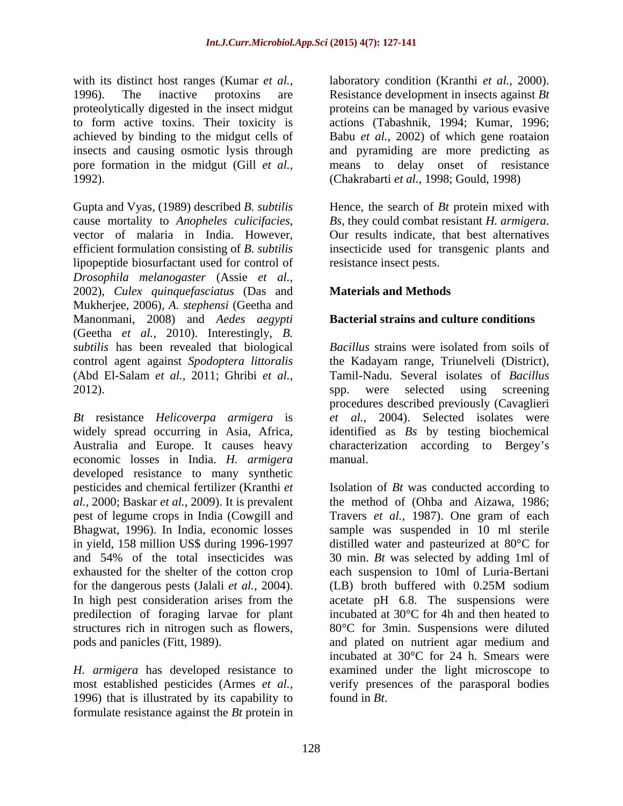with its distinct host ranges (Kumar *et al.*, laboratory condition (Kranthi *et al.*, 2000). 1996). The inactive protoxins are Resistance development in insects against  $Bt$ proteolytically digested in the insect midgut to form active toxins. Their toxicity is actions (Tabashnik, 1994; Kumar, 1996; achieved by binding to the midgut cells of Babu *et al.,* 2002) ofwhich gene roataion insects and causing osmotic lysis through and pyramiding are more predicting as pore formation in the midgut (Gill *et al.,* means to delay onset of resistance 1992). (Chakrabarti *et al.,* 1998; Gould, 1998)

Gupta and Vyas, (1989) described *B. subtilis* Hence, the search of *Bt* protein mixed with cause mortality to *Anopheles culicifacies*, *Bs*, they could combat resistant *H. armigera.*<br>vector of malaria in India. However, Our results indicate, that best alternatives efficient formulation consisting of *B. subtilis* insecticide used for transgenic plants and lipopeptide biosurfactant used for control of *Drosophila melanogaster* (Assie *et al.,* 2002), *Culex quinquefasciatus* (Das and Mukherjee, 2006), *A. stephensi* (Geetha and Manonmani, 2008) and *Aedes aegypti* (Geetha *et al.,* 2010). Interestingly, *B. subtilis* has been revealed that biological *Bacillus* strains were isolated from soils of control agent against *Spodoptera littoralis* the Kadayam range, Triunelveli (District), (Abd El-Salam *et al.,* 2011; Ghribi *et al.,* Tamil-Nadu. Several isolates of *Bacillus*  2012). Spp. were selected using screening

*Bt* resistance *Helicoverpa armigera* is widely spread occurring in Asia, Africa, identified as *Bs* by testing biochemical Australia and Europe. It causes heavy characterization according to Bergey's economic losses in India. *H. armigera* developed resistance to many synthetic pest of legume crops in India (Cowgill and for the dangerous pests (Jalali *et al.,* 2004). structures rich in nitrogen such as flowers,

*H. armigera* has developed resistance to 1996) that is illustrated by its capability to formulate resistance against the *Bt* protein in laboratory condition (Kranthi *et al.,* 2000).Resistance development in insects against *Bt* proteins can be managed by various evasive

*Bs,* they could combat resistant *H. armigera*. Our results indicate, that best alternatives resistance insect pests.

# **Materials and Methods**

## **Bacterial strains and culture conditions**

*Bacillus* strains were isolated from soils of spp. were selected using screening procedures described previously (Cavaglieri *et al.,* 2004). Selected isolates were manual.

pesticides and chemical fertilizer (Kranthi *et*  Isolation of *Bt* was conducted according to *al.,* 2000; Baskar *et al.,* 2009). It is prevalent the method of (Ohba and Aizawa, 1986; Bhagwat, 1996). In India, economic losses sample was suspended in 10 ml sterile in yield, 158 million US\$ during 1996-1997 distilled water and pasteurized at 80°C for and 54% of the total insecticides was 30 min. *Bt* was selected by adding 1ml of exhausted for the shelter of the cotton crop each suspension to 10ml of Luria-Bertani In high pest consideration arises from the acetate pH 6.8. The suspensions were predilection of foraging larvae for plant incubated at 30°C for 4h and then heated to pods and panicles (Fitt, 1989). and plated on nutrient agar medium and most established pesticides (Armes *et al.,* verify presences of the parasporal bodies Travers *et al.,* 1987). One gram of each (LB) broth buffered with 0.25M sodium 80°C for 3min. Suspensions were diluted incubated at 30°C for 24 h. Smears were examined under the light microscope to found in *Bt*.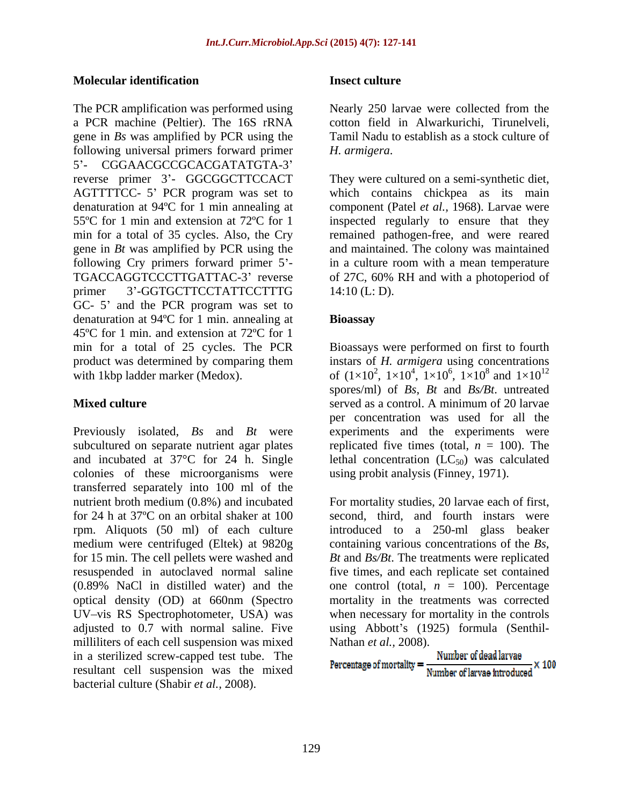#### **Molecular identification**

The PCR amplification was performed using Nearly 250 larvae were collected from the a PCR machine (Peltier). The 16S rRNA gene in *Bs* was amplified by PCR using the following universal primers forward primer H. armigera. 5'- CGGAACGCCGCACGATATGTA-3' reverse primer 3'- GGCGGCTTCCACT They were cultured on a semi-synthetic diet, gene in *Bt* was amplified by PCR using the GC- 5' and the PCR program was set to denaturation at 94ºC for 1 min. annealing at 45ºC for 1 min. and extension at 72ºC for 1

Previously isolated, *Bs* and *Bt* were experiments and the experiments were subcultured on separate nutrient agar plates and incubated at  $37^{\circ}$ C for 24 h. Single lethal concentration (LC<sub>50</sub>) was calculated colonies of these microorganisms were transferred separately into 100 ml of the nutrient broth medium (0.8%) and incubated For mortality studies, 20 larvae each of first, for 24 h at 37ºC on an orbital shaker at 100 second, third, and fourth instars were rpm. Aliquots (50 ml) of each culture medium were centrifuged (Eltek) at 9820g containing various concentrations of the *Bs*, for 15 min. The cell pellets were washed and *Bt* and *Bs/Bt*. The treatments were replicated resuspended in autoclaved normal saline (0.89% NaCl in distilled water) and the one control (total,  $n = 100$ ). Percentage optical density (OD) at 660nm (Spectro UV-vis RS Spectrophotometer, USA) was when necessary for mortality in the controls adjusted to 0.7 with normal saline. Five using Abbott's (1925) formula (Senthilmilliliters of each cell suspension was mixed in a sterilized screw-capped test tube. The resultant cell suspension was the mixed bacterial culture (Shabir *et al.,* 2008).

### **Insect culture**

Nearly 250 larvae were collected from the cotton field in Alwarkurichi, Tirunelveli, Tamil Nadu to establish as a stock culture of

AGTTTTCC- 5' PCR program was set to which contains chickpea as its main denaturation at 94ºC for 1 min annealing at component (Patel *et al.,* 1968). Larvae were 55ºC for 1 min and extension at 72ºC for 1 inspected regularly to ensure that they min for a total of 35 cycles. Also, the Cry remained pathogen-free, and were reared following Cry primers forward primer 5<sup>2</sup> in a culture room with a mean temperature TGACCAGGTCCCTTGATTAC-3 reverse of 27C, 60% RH and with a photoperiod of primer 3'-GGTGCTTCCTATTCCTTTG 14:10 (L: D). *H. armigera.*<br>They were cultured on a semi-synthetic diet, and maintained. The colony was maintained 14:10 (L: D).

### **Bioassay**

min for a total of 25 cycles. The PCR Bioassays were performed on first to fourth product was determined by comparing them instars of *H. armigera* using concentrations with 1kbp ladder marker (Medox).  $0.6 \frac{(1 \times 10^2, 1 \times 10^4, 1 \times 10^6, 1 \times 10^8 \text{ and } 1 \times 10^{12})}{(1 \times 10^4, 1 \times 10^6, 1 \times 10^8 \text{ and } 1 \times 10^{12})}$ **Mixed culture** the served as a control. A minimum of 20 larvae  $6.1 \times 10^8$  and  $1 \times 10^{12}$ ,  $1 \times 10^8$  and  $1 \times 10^{12}$  $^8$  and  $1 \times 10^{12}$ 12 spores/ml) of *Bs*, *Bt* and *Bs/Bt*. untreated served as a control. A minimum of 20 larvae per concentration was used for all the replicated five times (total,  $n = 100$ ). The using probit analysis (Finney, 1971).

> introduced to a 250-ml glass beaker five times, and each replicate set contained mortality in the treatments was corrected Nathan *et al.,* 2008).

$$
Percentage of mortality = \frac{Number of dead larvae}{Number of larvae introduced} \times 100
$$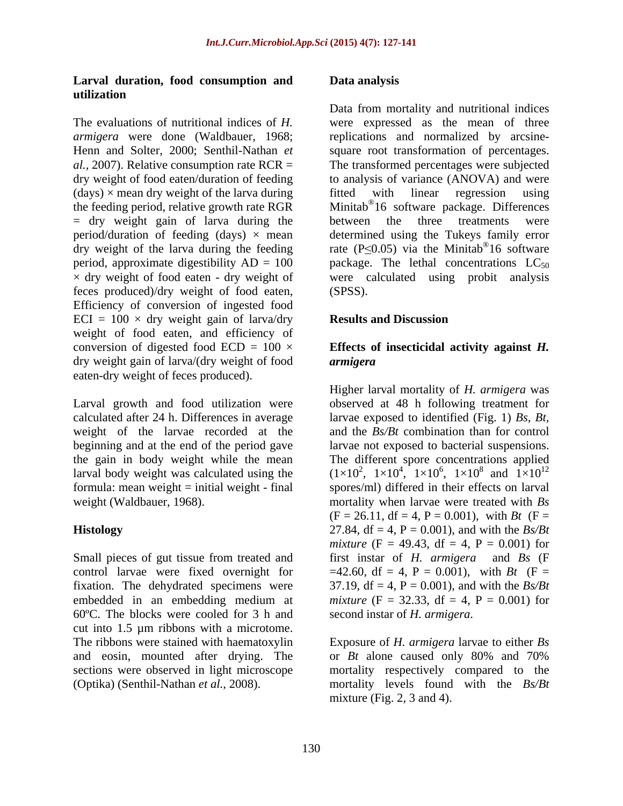### **Larval duration, food consumption and utilization**

 $(days) \times$  mean dry weight of the larva during fitted with linear regression using feces produced)/dry weight of food eaten, Efficiency of conversion of ingested food  $ECI = 100 \times dry$  weight gain of larva/dry **Results and Discussion** weight of food eaten, and efficiency of conversion of digested food  $ECD = 100 \times$  **Effects of insecticidal activity against** *H***.** dry weight gain of larva/(dry weight of food armigera eaten-dry weight of feces produced).

calculated after 24 h. Differences in average weight of the larvae recorded at the

60ºC. The blocks were cooled for 3 h and cut into 1.5 µm ribbons with a microtome. The ribbons were stained with haematoxylin Exposure of*H. armigera* larvae to either *Bs*  and eosin, mounted after drying. The or  $Bt$  alone caused only 80% and 70% sections were observed in light microscope mortality respectively compared to the

#### **Data analysis**

The evaluations of nutritional indices of *H.*  were expressed as the mean of three *armigera* were done (Waldbauer, 1968; replications and normalized by arcsine-Henn and Solter, 2000; Senthil-Nathan *et*  square root transformation of percentages. *al.,* 2007). Relative consumption rate RCR = The transformed percentages were subjected dry weight of food eaten/duration of feeding to analysis of variance (ANOVA) and were the feeding period, relative growth rate RGR Minitab<sup>®</sup>16 software package. Differences<br>= dry weight gain of larva during the between the three treatments were period/duration of feeding  $(days) \times mean$  determined using the Tukeys family error dry weight of the larva during the feeding rate  $(P \le 0.05)$  via the Minitab<sup>®</sup>16 software period, approximate digestibility  $AD = 100$  package. The lethal concentrations  $LC_{50}$  $\times$  dry weight of food eaten - dry weight of were calculated using probit analysis Data from mortality and nutritional indices fitted with linear regression using Minitab® 16 software package. Differences between the three treatments were 16 software (SPSS).

### **Results and Discussion**

# *armigera*

Larval growth and food utilization were observed at 48 h following treatment for beginning and at the end of the period gave larvae not exposed to bacterial suspensions. the gain in body weight while the mean The different spore concentrations applied larval body weight was calculated using the  $(1\times10^2, 1\times10^4, 1\times10^6, 1\times10^8$  and  $1\times10^{12}$ formula: mean weight = initial weight - final spores/ml) differed in their effects on larval weight (Waldbauer, 1968). mortality when larvae were treated with *Bs* **Histology** 27.84, df = 4, P = 0.001), and with the *Bs/Bt*  Small pieces of gut tissue from treated and first instar of *H. armigera* and *Bs* (F control larvae were fixed overnight for  $=42.60$ , df = 4, P = 0.001), with *Bt* (F = fixation. The dehydrated specimens were  $37.19$ , df = 4, P = 0.001), and with the  $Bs/Bt$ embedded in an embedding medium at *mixture* ( $F = 32.33$ , df = 4,  $P = 0.001$ ) for Higher larval mortality of *H. armigera* was larvae exposed to identified (Fig. 1) *Bs, Bt,* and the *Bs/Bt* combination than for control ,  $1 \times 10^8$  and  $1 \times 10^{12}$ <sup>8</sup> and  $1 \times 10^{12}$ 12  $(F = 26.11, df = 4, P = 0.001)$ , with *Bt*  $(F =$ *mixture* (F = 49.43, df = 4, P = 0.001) for second instar of *H. armigera*.

(Optika) (Senthil-Nathan *et al.,* 2008). mortality levels found with the *Bs/Bt* or *Bt* alone caused only 80% and 70% mixture (Fig.  $2$ ,  $3$  and  $4$ ).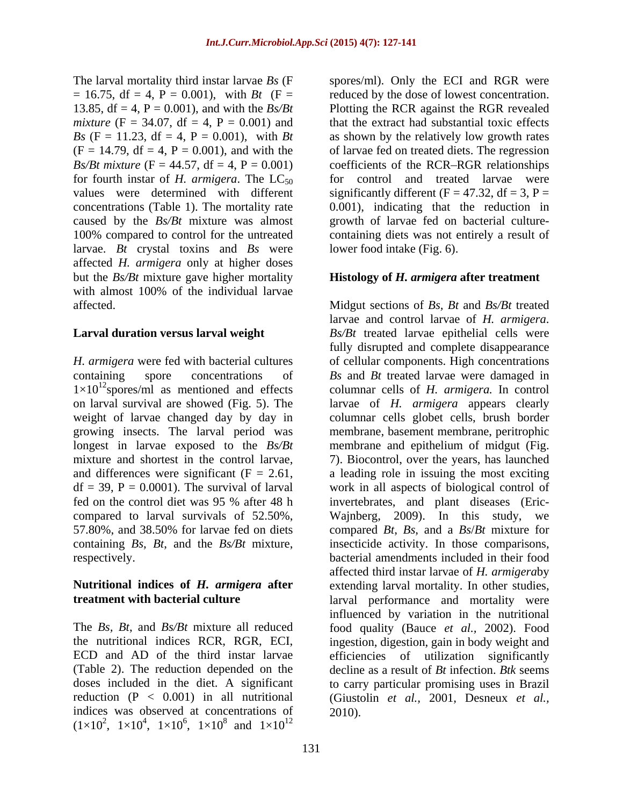$= 16.75$ , df  $= 4$ ,  $P = 0.001$ ), with *Bt* (F  $=$ for fourth instar of *H. armigera*. The  $LC_{50}$ caused by the *Bs/Bt* mixture was almost larvae. *Bt* crystal toxins and *Bs* were affected *H. armigera* only at higher doses but the *Bs/Bt* mixture gave higher mortality with almost 100% of the individual larvae

on larval survival are showed (Fig. 5). The weight of larvae changed day by day in compared to larval survivals of 52.50%,

(Table 2). The reduction depended on the doses included in the diet. A significant indices was observed at concentrations of  $(1 \times 10^2, 1 \times 10^4, 1 \times 10^6, 1 \times 10^8$  and  $1 \times 10^{12}$ ,  $1 \times 10^8$  and  $1 \times 10^{12}$  $8$  and  $1 \times 10^{12}$ 

The larval mortality third instar larvae *Bs* (F spores/ml). Only the ECI and RGR were 13.85,  $df = 4$ ,  $P = 0.001$ ), and with the  $Bs/Bt$  Plotting the RCR against the RGR revealed *mixture*  $(F = 34.07, df = 4, P = 0.001)$  and that the extract had substantial toxic effects *Bs* (F = 11.23, df = 4, P = 0.001), with *Bt* as shown by the relatively low growth rates (F = 14.79, df = 4, P = 0.001), and with the of larvae fed on treated diets. The regression *Bs/Bt mixture* ( $F = 44.57$ ,  $df = 4$ ,  $P = 0.001$ ) coefficients of the RCR-RGR relationships values were determined with different significantly different  $(F = 47.32, df = 3, P =$ concentrations (Table 1). The mortality rate 0.001), indicating that the reduction in 100% compared to control for the untreated containing diets was not entirely a result of reduced by the dose of lowest concentration. as shown by the relatively low growth rates of larvae fed on treated diets. The regression for control and treated larvae were growth of larvae fed on bacterial culture lower food intake (Fig. 6).

### **Histology of** *H. armigera* **after treatment**

affected. Midgut sections of *Bs, Bt* and *Bs/Bt* treated **Larval duration versus larval weight** Bs/Bt treated larvae epithelial cells were *H. armigera* were fed with bacterial cultures of cellular components. High concentrations containing spore concentrations of *Bs* and *Bt* treated larvae were damaged in  $1 \times 10^{12}$  spores/ml as mentioned and effects columnar cells of *H. armigera*. In control growing insects. The larval period was membrane, basement membrane, peritrophic longest in larvae exposed to the *Bs/Bt* membrane and epithelium of midgut (Fig. mixture and shortest in the control larvae, 7). Biocontrol, over the years, has launched and differences were significant  $(F = 2.61,$  a leading role in issuing the most exciting  $df = 39$ ,  $P = 0.0001$ ). The survival of larval work in all aspects of biological control of fed on the control diet was 95 % after 48 h invertebrates, and plant diseases (Eric- 57.80%, and 38.50% for larvae fed on diets compared *Bt*, *Bs*, and a *Bs*/*Bt* mixture for containing *Bs*, *Bt*, and the *Bs/Bt* mixture, insecticide activity. In those comparisons, respectively. bacterial amendments included in their food **Nutritional indices of** *H. armigera* **after** extending larval mortality. In other studies, **treatment with bacterial culture interpreteration** and mortality were The *Bs, Bt*, and *Bs/Bt* mixture all reduced food quality (Bauce *et al.,* 2002). Food the nutritional indices RCR, RGR, ECI, ingestion, digestion, gain in body weight and ECD and AD of the third instar larvae efficiencies of utilization significantly reduction (P < 0.001) in all nutritional (Giustolin *et al.,* 2001, Desneux *et al.,*  $12$ larvae and control larvae of *H. armigera*. fully disrupted and complete disappearance larvae of *H. armigera* appears clearly columnar cells globet cells, brush border Wajnberg,  $2009$ ). In this study, affected third instar larvae of *H. armigera*by influenced by variation in the nutritional decline as a result of *Bt* infection. *Btk* seems to carry particular promising uses in Brazil 2010).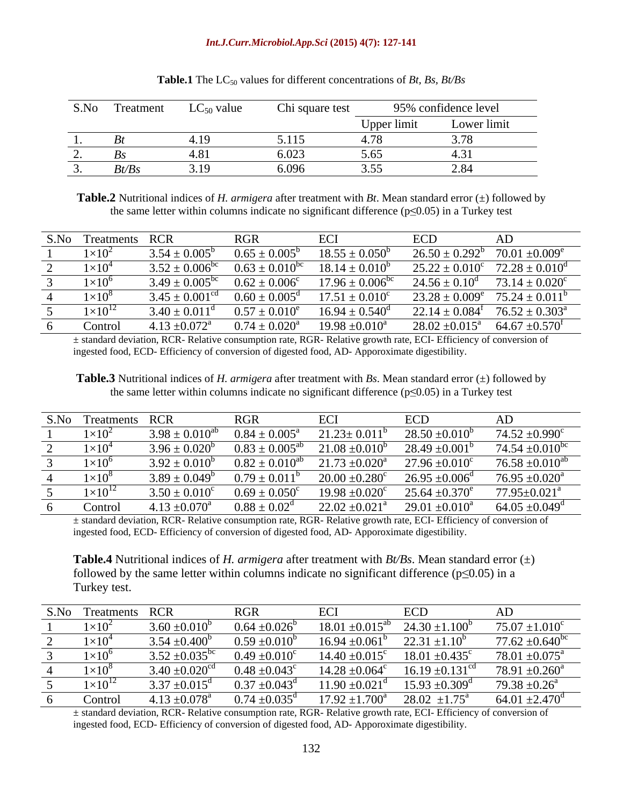#### *Int.J.Curr.Microbiol.App.Sci* **(2015) 4(7): 127-141**

| S.No<br>Treatment |       | $LC_{50}$ value | Chi square test                                                              | 95% confidence level |                              |  |
|-------------------|-------|-----------------|------------------------------------------------------------------------------|----------------------|------------------------------|--|
|                   |       |                 |                                                                              | Upper limit          | $\sim$ $\sim$<br>Lower limit |  |
|                   |       |                 | 114<br>$\boldsymbol{\mathcal{L}}\boldsymbol{\cdot}\boldsymbol{\mathbf{1}}$ . |                      |                              |  |
|                   |       |                 | 6.023                                                                        | J.VJ                 |                              |  |
|                   | Bt/Bs | .               | 6.096                                                                        |                      | $\epsilon$ .o                |  |

| <b>Table.1</b> The LC <sub>50</sub> values for different concentrations of <i>Bt</i> , <i>Bs</i> , <i>Bt/Bs</i> |  |
|-----------------------------------------------------------------------------------------------------------------|--|
|-----------------------------------------------------------------------------------------------------------------|--|

**Table.2** Nutritional indices of *H. armigera* after treatment with *Bt*. Mean standard error  $(\pm)$  followed by the same letter within columns indicate no significant difference ( $p \le 0.05$ ) in a Turkey test

| S.No Treatments RCR | RGR ECI |                                                                                                                                                                             | ECD AD |  |
|---------------------|---------|-----------------------------------------------------------------------------------------------------------------------------------------------------------------------------|--------|--|
|                     |         | $1 \times 10^2$ $3.54 \pm 0.005^b$ $0.65 \pm 0.005^b$ $18.55 \pm 0.050^b$ $26.50 \pm 0.292^b$ $70.01 \pm 0.009^e$                                                           |        |  |
|                     |         | $1 \times 10^4$ $3.52 \pm 0.006^{bc}$ $0.63 \pm 0.010^{bc}$ $18.14 \pm 0.010^b$ $25.22 \pm 0.010^c$ $72.28 \pm 0.010^d$                                                     |        |  |
|                     |         | $1 \times 10^6$ $3.49 \pm 0.005^{\text{bc}}$ $0.62 \pm 0.006^{\text{c}}$ $17.96 \pm 0.006^{\text{bc}}$ $24.56 \pm 0.10^{\text{d}}$ $73.14 \pm 0.020^{\text{c}}$             |        |  |
|                     |         | $1\times10^8$ 3.45 ± 0.001 <sup>cd</sup> 0.60 ± 0.005 <sup>d</sup> $17.51 \pm 0.010^c$ 23.28 ± 0.009 <sup>e</sup> 75.24 ± 0.011 <sup>b</sup>                                |        |  |
|                     |         | $1 \times 10^{12}$ 3.40 $\pm$ 0.011 <sup>d</sup> 0.57 $\pm$ 0.010 <sup>e</sup> 16.94 $\pm$ 0.540 <sup>d</sup> 22.14 $\pm$ 0.084 <sup>t</sup> 76.52 $\pm$ 0.303 <sup>a</sup> |        |  |
| Control             |         | $4.13 \pm 0.072^{\circ}$ $0.74 \pm 0.020^{\circ}$ $19.98 \pm 0.010^{\circ}$ $28.02 \pm 0.015^{\circ}$ $64.67 \pm 0.570^{\circ}$                                             |        |  |

± standard deviation, RCR- Relative consumption rate, RGR- Relative growth rate, ECI- Efficiency of conversion of ingested food, ECD- Efficiency of conversion of digested food, AD- Apporoximate digestibility.

**Table.3** Nutritional indices of *H. armigera* after treatment with *Bs*. Mean standard error (±) followed by the same letter within columns indicate no significant difference ( $p \le 0.05$ ) in a Turkey test

| S.No Treatments RCR |                                      | RGR ECI | ECD                                                                                                                                                                    |                                                                                                                         |
|---------------------|--------------------------------------|---------|------------------------------------------------------------------------------------------------------------------------------------------------------------------------|-------------------------------------------------------------------------------------------------------------------------|
|                     |                                      |         |                                                                                                                                                                        | $1 \times 10^2$ $3.98 \pm 0.010^{ab}$ $0.84 \pm 0.005^a$ $21.23 \pm 0.011^b$ $28.50 \pm 0.010^b$ $74.52 \pm 0.990^c$    |
|                     |                                      |         |                                                                                                                                                                        | $1 \times 10^4$ $3.96 \pm 0.020^6$ $0.83 \pm 0.005^{ab}$ $21.08 \pm 0.010^b$ $28.49 \pm 0.001^b$ $74.54 \pm 0.010^{bc}$ |
|                     |                                      |         |                                                                                                                                                                        | $1 \times 10^6$ $3.92 \pm 0.010^6$ $0.82 \pm 0.010^{ab}$ $21.73 \pm 0.020^a$ $27.96 \pm 0.010^c$ $76.58 \pm 0.010^{ab}$ |
|                     |                                      |         | $1\times10^8$ 3.89 $\pm$ 0.049 <sup>b</sup> 0.79 $\pm$ 0.011 <sup>b</sup> 20.00 $\pm$ 0.280 <sup>c</sup> 26.95 $\pm$ 0.006 <sup>d</sup> 76.95 $\pm$ 0.020 <sup>a</sup> |                                                                                                                         |
|                     |                                      |         | $1 \times 10^{12}$ $3.50 \pm 0.010^{\circ}$ $0.69 \pm 0.050^{\circ}$ $19.98 \pm 0.020^{\circ}$ $25.64 \pm 0.370^{\circ}$ $77.95 \pm 0.021^{\circ}$                     |                                                                                                                         |
| Control             | $4.13 \pm 0.070^a$ $0.88 \pm 0.02^d$ |         | $22.02 \pm 0.021^{\circ}$ $29.01 \pm 0.010^{\circ}$                                                                                                                    | $64.05 \pm 0.049^{\circ}$                                                                                               |

± standard deviation, RCR- Relative consumption rate, RGR- Relative growth rate, ECI- Efficiency of conversion of ingested food, ECD- Efficiency of conversion of digested food, AD- Apporoximate digestibility.

**Table.4** Nutritional indices of *H. armigera* after treatment with *Bt/Bs*. Mean standard error (±) followed by the same letter within columns indicate no significant difference ( $p \le 0.05$ ) in a Turkey test.

| S.No Treatments RCR |                           | RGR                       | ECI | ECD                                                                                                                                              |                            |
|---------------------|---------------------------|---------------------------|-----|--------------------------------------------------------------------------------------------------------------------------------------------------|----------------------------|
| $1\times10^2$       | $3.60 \pm 0.010^6$        |                           |     | $0.64 \pm 0.026^{\circ}$ 18.01 $\pm 0.015^{\circ}$ 24.30 $\pm 1.100^{\circ}$                                                                     | $75.07 \pm 1.010^c$        |
| $1 \times 10^4$     |                           |                           |     | $3.54 \pm 0.400^{\circ}$ $0.59 \pm 0.010^{\circ}$ $16.94 \pm 0.061^{\circ}$ $22.31 \pm 1.10^{\circ}$                                             | $77.62 \pm 0.640^{\rm bc}$ |
| $1\times10^{6}$     |                           |                           |     | $3.52 \pm 0.035^{\circ \circ}$ $0.49 \pm 0.010^{\circ}$ $14.40 \pm 0.015^{\circ}$ $18.01 \pm 0.435^{\circ}$ $78.01 \pm 0.075^{\circ}$            |                            |
| $1\times10^8$       |                           |                           |     | $3.40 \pm 0.020^{\text{cd}}$ $0.48 \pm 0.043^{\text{c}}$ $14.28 \pm 0.064^{\text{c}}$ $16.19 \pm 0.131^{\text{cd}}$ $78.91 \pm 0.260^{\text{a}}$ |                            |
| $1\times10^{12}$    |                           |                           |     | $3.37 \pm 0.015^{\circ}$ $0.37 \pm 0.043^{\circ}$ $11.90 \pm 0.021^{\circ}$ $15.93 \pm 0.309^{\circ}$                                            | $79.38 \pm 0.26^{\circ}$   |
| Control             | $4.13 + 0.078^{\text{a}}$ | $0.74 + 0.035^{\text{d}}$ |     | $17.92 \pm 1.700^{\circ}$ $28.02 \pm 1.75^{\circ}$ $64.01 \pm 2.470^{\circ}$                                                                     |                            |

± standard deviation, RCR- Relative consumption rate, RGR- Relative growth rate, ECI- Efficiency of conversion of ingested food, ECD- Efficiency of conversion of digested food, AD- Apporoximate digestibility.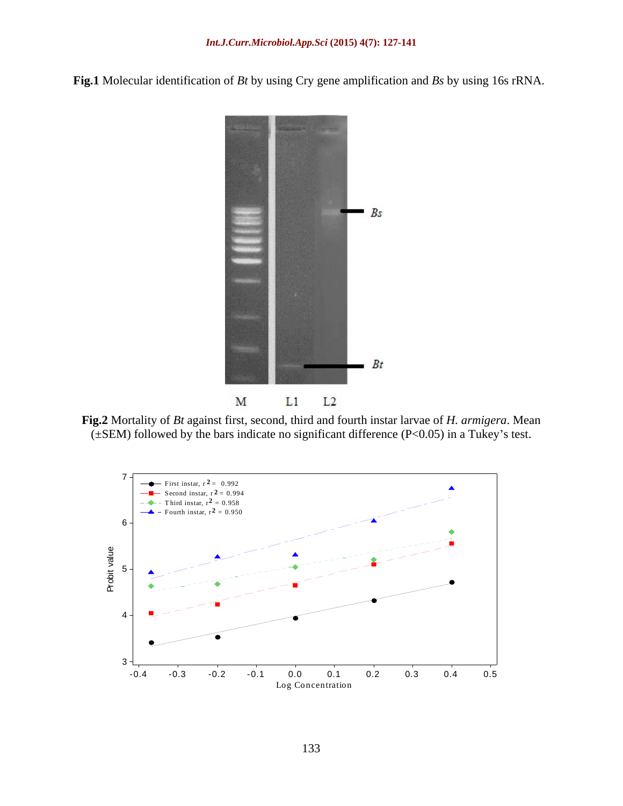**Fig.1** Molecular identification of *Bt* by using Cry gene amplification and *Bs* by using 16s rRNA.



**Fig.2** Mortality of *Bt* against first, second, third and fourth instar larvae of *H. armigera*. Mean  $(\pm$ SEM) followed by the bars indicate no significant difference (P<0.05) in a Tukey's test.

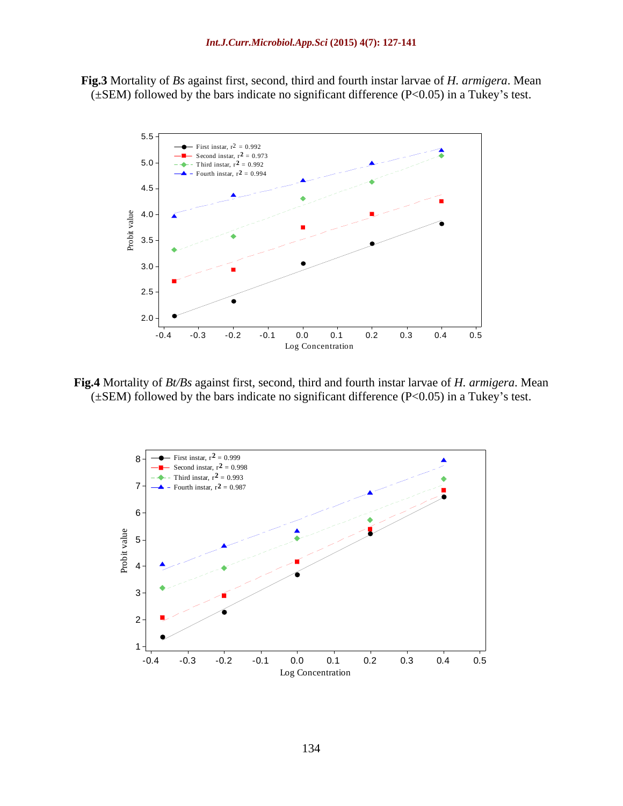**Fig.3** Mortality of *Bs* against first, second, third and fourth instar larvae of *H. armigera*. Mean  $(\pm$ SEM) followed by the bars indicate no significant difference (P<0.05) in a Tukey's test.



**Fig.4** Mortality of *Bt/Bs* against first, second, third and fourth instar larvae of *H. armigera*. Mean  $(\pm$ SEM) followed by the bars indicate no significant difference (P<0.05) in a Tukey's test.

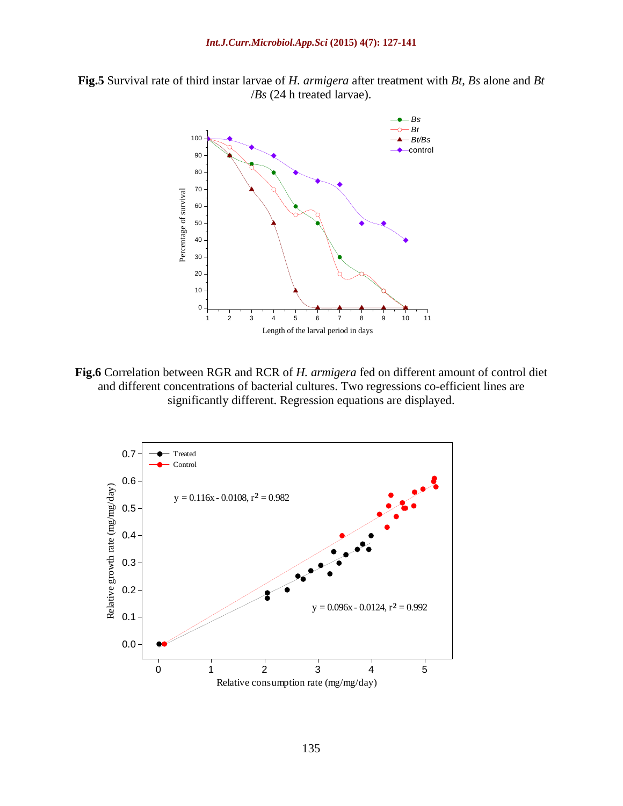**Fig.5** Survival rate of third instar larvae of *H. armigera* after treatment with *Bt*, *Bs* alone and *Bt* /*Bs* (24 h treated larvae).



**Fig.6** Correlation between RGR and RCR of *H. armigera* fed on different amount of control diet and different concentrations of bacterial cultures. Two regressions co-efficient lines are significantly different. Regression equations are displayed.

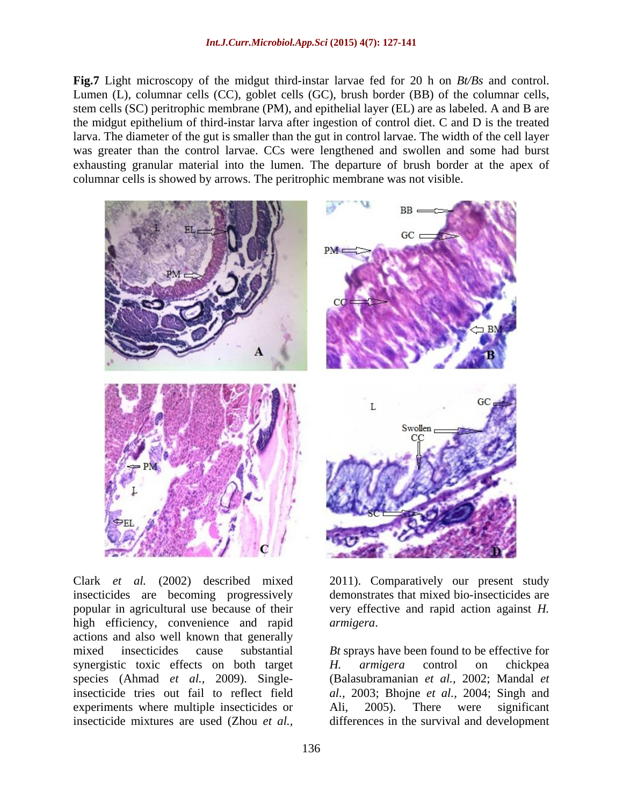**Fig.7** Light microscopy of the midgut third-instar larvae fed for 20 h on *Bt/Bs* and control. Lumen (L), columnar cells (CC), goblet cells (GC), brush border (BB) of the columnar cells, stem cells (SC) peritrophic membrane (PM), and epithelial layer (EL) are as labeled. A and B are the midgut epithelium of third-instar larva after ingestion of control diet. C and D is the treated larva. The diameter of the gut is smaller than the gut in control larvae. The width of the cell layer was greater than the control larvae. CCs were lengthened and swollen and some had burst exhausting granular material into the lumen. The departure of brush border at the apex of columnar cells is showed by arrows. The peritrophic membrane was not visible.



insecticides are becoming progressively demonstrates that mixed bio-insecticides are popular in agricultural use because of their high efficiency, convenience and rapid *armigera*. actions and also well known that generally synergistic toxic effects on both target H. armigera control on chickpea experiments where multiple insecticides or Ali, 2005). There were significant Clark *et al.* (2002) described mixed 2011). Comparatively our present study insecticides are becoming progressively demonstrates that mixed bio-insecticides are popular in agricultural use because of their very effective

Clark *et al.* (2002) described mixed very effective and rapid action against *H. armigera*.

mixed insecticides cause substantial *Bt* sprays have been found to be effective for species (Ahmad *et al.,* 2009). Single-(Balasubramanian *et al.,* 2002; Mandal *et*  insecticide tries out fail to reflect field *al.,* 2003; Bhojne *et al.,* 2004; Singh and *H. armigera* control on chickpea Ali, 2005). There were significant differences in the survival and development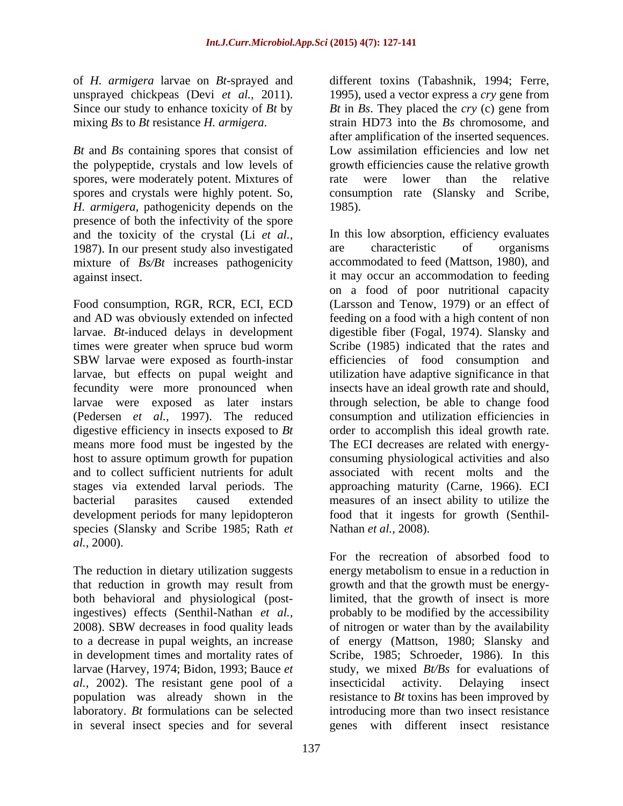*Bt* and *Bs* containing spores that consist of the polypeptide, crystals and low levels of spores, were moderately potent. Mixtures of and the relative relative spores, were moderately potent. Mixtures of and the relative spores and crystals were highly potent. So, consumption rate (Slansky and Scribe, *H. armigera*, pathogenicity depends on the presence of both the infectivity of the spore and the toxicity of the crystal (Li *et al.,* 1987). In our present study also investigated are characteristic of organisms mixture of *Bs/Bt* increases pathogenicity

Food consumption, RGR, RCR, ECI, ECD times were greater when spruce bud worm (Pedersen *et al.,* 1997). The reduced means more food must be ingested by the and to collect sufficient nutrients for adult species (Slansky and Scribe 1985; Rath *et al.,* 2000).

The reduction in dietary utilization suggests that reduction in growth may result from *al.,* 2002). The resistant gene pool of a

of *H. armigera* larvae on *Bt*-sprayed and different toxins (Tabashnik, 1994; Ferre, unsprayed chickpeas (Devi *et al.,* 2011). 1995), used a vector express a *cry* gene from Since our study to enhance toxicity of *Bt* by *Bt* in *Bs*. They placed the *cry* (c) gene from mixing *Bs* to *Bt* resistance *H. armigera*. strain HD73 into the *Bs* chromosome, and after amplification of the inserted sequences. Low assimilation efficiencies and low net growth efficiencies cause the relative growth rate were lower than the relative 1985).

against insect. it may occur an accommodation to feeding and AD was obviously extended on infected feeding on a food with a high content of non larvae. *Bt*-induced delays in development digestible fiber (Fogal, 1974). Slansky and SBW larvae were exposed as fourth-instar efficiencies of food consumption and larvae, but effects on pupal weight and utilization have adaptive significance in that fecundity were more pronounced when insects have an ideal growth rate and should, larvae were exposed as later instars through selection, be able to change food digestive efficiency in insects exposed to *Bt* order to accomplish this ideal growth rate. host to assure optimum growth for pupation consuming physiological activities and also stages via extended larval periods. The approaching maturity (Carne, 1966). ECI bacterial parasites caused extended measures of an insect ability to utilize the development periods for many lepidopteron food that it ingests for growth (Senthil- In this low absorption, efficiency evaluates are characteristic of organisms accommodated to feed (Mattson, 1980), and on a food of poor nutritional capacity (Larsson and Tenow, 1979) or an effect of Scribe (1985) indicated that the rates and efficiencies of food consumption and consumption and utilization efficiencies in The ECI decreases are related with energy associated with recent molts and the Nathan *et al.,* 2008).

both behavioral and physiological (post-limited, that the growth of insect is more ingestives) effects (Senthil-Nathan *et al.,* probably to be modified by the accessibility 2008). SBW decreases in food quality leads of nitrogen or water than by the availability to a decrease in pupal weights, an increase of energy (Mattson, 1980; Slansky and in development times and mortality rates of Scribe, 1985; Schroeder, 1986). In this larvae (Harvey, 1974; Bidon, 1993; Bauce *et*  study, we mixed *Bt/Bs* for evaluations of population was already shown in the resistance to *Bt* toxins has been improved by laboratory. *Bt* formulations can be selected introducing more than two insect resistance in several insect species and for several genes with different insect resistanceFor the recreation of absorbed food to energy metabolism to ensue in a reduction in growth and that the growth must be energyof nitrogen or water than by the availability insecticidal activity. Delaying insect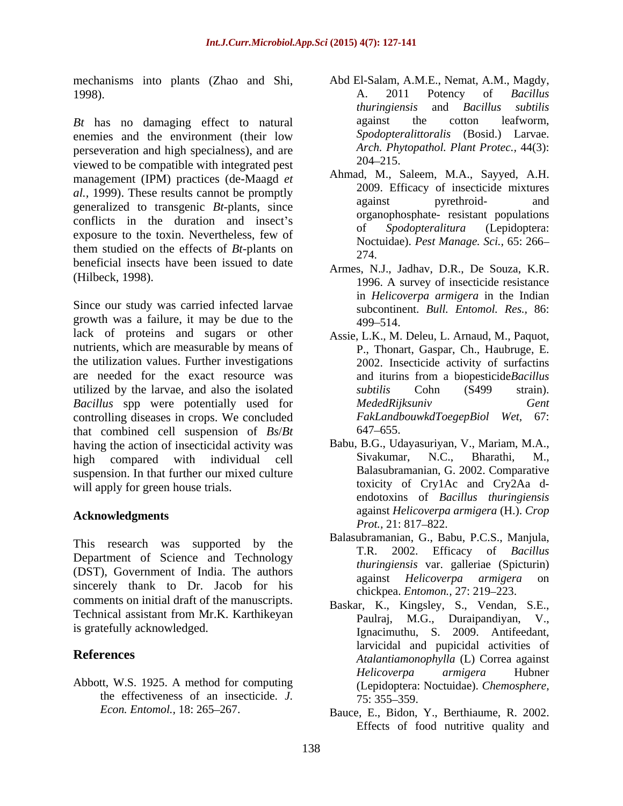mechanisms into plants (Zhao and Shi,

*Bt* has no damaging effect to natural against the cotton leafworm, enemies and the environment (their low Spodopteralittoralis (Bosid.) Larvae. perseveration and high specialness), and are *Arch. Phy*<br>viewed to be compatible with integrated post 204–215. viewed to be compatible with integrated pest management (IPM) practices (de-Maagd *et al.*, 1999). These results cannot be promptly<br>
against by rethroid-<br>
and pyrethroid-<br>
and pyrethroid-<br>
and pyrethroidgeneralized to transgenic *Bt*-plants, since conflicts in the duration and insect's of Spodopteralitura (Lepidoptera: exposure to the toxin. Nevertheless, few of them studied on the effects of *Bt*-plants on beneficial insects have been issued to date

Since our study was carried infected larvae growth was a failure, it may be due to the  $499-514$ . lack of proteins and sugars or other nutrients, which are measurable by means of the utilization values. Further investigations are needed for the exact resource was and ituring from a biopesticide Bacillus utilized by the larvae, and also the isolated *subtilis* Cohn (S499 strain). *Bacillus* spp were potentially used for *MededRijksuniv* Gent controlling diseases in crops. We concluded FakLandbouwkdToegepBiol Wet, 67: that combined cell suspension of *Bs*/*Bt* having the action of insecticidal activity was Babu, B.G., Udayasuriyan, V., Mariam, M.A., high compared with individual cell Sivakumar, N.C., Bharathi, M., high compared with individual cell **Sivakumar**, N.C., Bharathi, M., suspension. In that further our mixed culture will apply for green house trials.

This research was supported by the Department of Science and Technology (DST), Government of India. The authors<br>against *Helicoverna armieera* on sincerely thank to Dr. Jacob for his comments on initial draft of the manuscripts. Technical assistant from Mr.K. Karthikeyan

Abbott, W.S. 1925. A method for computing the effectiveness of an insecticide. *J.*  $\overline{75:}355-359$ .

- 1998). A. 2011 Potency of *Bacillus* Abd El-Salam, A.M.E., Nemat, A.M., Magdy, A. 2011 Potency of *Bacillus thuringiensis* and *Bacillus subtilis* against the cotton leafworm, *Spodopteralittoralis* (Bosid.) Larvae. *Arch. Phytopathol. Plant Protec.,* 44(3): 204 215.
	- Ahmad, M., Saleem, M.A., Sayyed, A.H. 2009. Efficacy of insecticide mixtures against pyrethroid- and organophosphate- resistant populations of *Spodopteralitura* (Lepidoptera: Noctuidae). *Pest Manage. Sci.,* 65: 266 274.
- (Hilbeck, 1998). 1996. A survey of insecticide resistance Armes, N.J., Jadhav, D.R., De Souza, K.R. in *Helicoverpa armigera* in the Indian subcontinent. *Bull. Entomol. Res.,* 86: 499 514.
	- Assie, L.K., M. Deleu, L. Arnaud, M., Paquot, P., Thonart, Gaspar, Ch., Haubruge, E. 2002. Insecticide activity of surfactins and iturins from a biopesticide*Bacillus subtilis* Cohn (S499 strain). *MededRijksuniv Gent*  $FakLandbouwkdToegepBiol$  *Wet,* 647 655.
- **Acknowledgments** against *Helicoverpa armigera* (H.). *Crop*  Babu, B.G., Udayasuriyan, V., Mariam, M.A., Sivakumar, N.C., Bharathi, M., Balasubramanian, G. 2002. Comparative toxicity of Cry1Ac and Cry2Aa d endotoxins of *Bacillus thuringiensis Prot.,* 21: 817–822.
	- Balasubramanian, G., Babu, P.C.S., Manjula, T.R. 2002. Efficacy of *Bacillus thuringiensis* var. galleriae (Spicturin) against *Helicoverpa armigera* chickpea. *Entomon.*, 27: 219–223.
- is gratefully acknowledged. Ignacimuthu, S. 2009. Antifeedant, **References** *Atalantiamonophylla* (L) Correa against Baskar, K., Kingsley, S., Vendan, S.E., Paulraj, M.G., Duraipandiyan, V., larvicidal and pupicidal activities of *Helicoverpa armigera* Hubner (Lepidoptera: Noctuidae). *Chemosphere,* 75: 355 359.
	- *Econ. Entomol.,* 18: 265–267. Bauce, E., Bidon, Y., Berthiaume, R. 2002. Effects of food nutritive quality and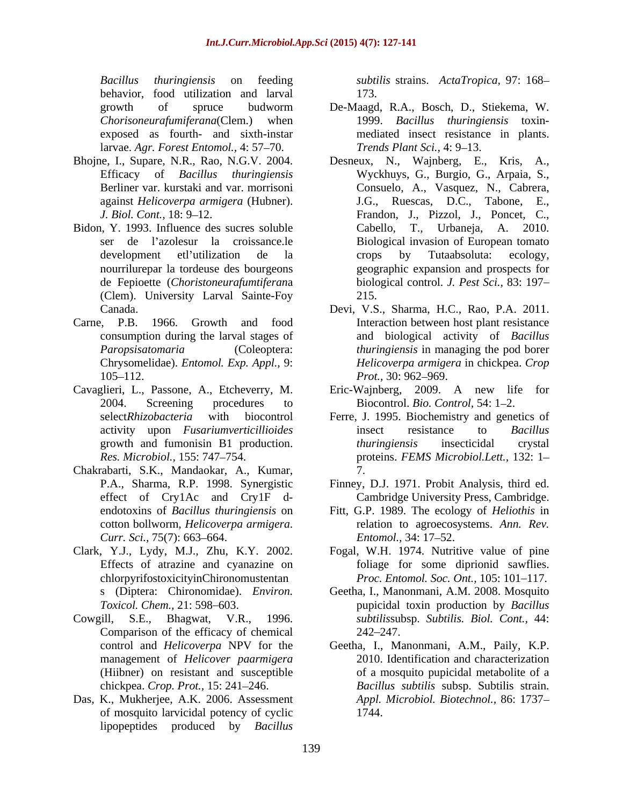*Bacillus thuringiensis* on feeding *subtilis* strains. *ActaTropica,* 97: 168 behavior, food utilization and larval 173. larvae. *Agr. Forest Entomol.,* 4: 57 70.

- 
- Bidon, Y. 1993. Influence des sucres soluble (Clem). University Larval Sainte-Foy
- 
- Cavaglieri, L., Passone, A., Etcheverry, M.
- Chakrabarti, S.K., Mandaokar, A., Kumar,
- Clark, Y.J., Lydy, M.J., Zhu, K.Y. 2002. Effects of atrazine and cyanazine on chlorpyrifostoxicityinChironomustentan
- Cowgill, S.E., Bhagwat, V.R., 1996. Comparison of the efficacy of chemical 242–247.
- Das, K., Mukherjee, A.K. 2006. Assessment of mosquito larvicidal potency of cyclic lipopeptides produced by *Bacillus*

173.

- growth of spruce budworm De-Maagd, R.A., Bosch, D., Stiekema, W. *Chorisoneurafumiferana*(Clem.) when 1999. *Bacillus thuringiensis* toxin exposed as fourth- and sixth-instar mediated insect resistance in plants. *Trends Plant Sci., 4: 9–13.*
- Bhojne, I., Supare, N.R., Rao, N.G.V. 2004. Desneux, N., Wajnberg, E., Kris, A., Efficacy of *Bacillus thuringiensis* Wyckhuys, G., Burgio, G., Arpaia, S., Berliner var. kurstaki and var. morrisoni Consuelo, A., Vasquez, N., Cabrera, against *Helicoverpa armigera* (Hubner). J.G., Ruescas, D.C., Tabone, E., *J. Biol. Cont.*, 18: 9–12. Frandon, J., Pizzol, J., Poncet, C., ser de l'azolesur la croissance.le Biological invasion of European tomato development et l'utilization de la crops by Tutaabsoluta: ecology, nourrilurepar la tordeuse des bourgeons geographic expansion and prospects for de Fepioette (*Choristoneurafumtiferan*a biological control. *J. Pest Sci.,* 83: 197 Desneux, N., Wajnberg, E., Kris, Cabello, T., Urbaneja, A.2010. cropsby Tutaabsoluta: ecology, 215.
- Canada. Devi, V.S., Sharma, H.C., Rao, P.A. 2011. Carne, P.B. 1966. Growth and food Interaction between host plant resistance consumption during the larval stages of and biological activity of *Bacillus Paropsisatomaria* (Coleoptera: *thuringiensis* in managing the pod borer Chrysomelidae). *Entomol. Exp. Appl.,* 9: *Helicoverpa armigera* in chickpea. *Crop*  105–112. *Prot.*, 30: 962–969. *Prot.,* 30: 962–969.
	- 2004. Screening procedures to Biocontrol. *Bio. Control*, 54: 1–2. Eric-Wajnberg, 2009. A new life for
	- select*Rhizobacteria* with biocontrol Ferre, J. 1995. Biochemistry and genetics of activity upon *Fusariumverticillioides* growth and fumonisin B1 production. *Res. Microbiol.,* 155: 747 754. proteins. *FEMS Microbiol.Lett.,* 132: 1 insect resistance to *Bacillus thuringiensis* insecticidal crystal 7.
	- P.A., Sharma, R.P. 1998. Synergistic Finney, D.J. 1971. Probit Analysis, third ed. effect of Cry1Ac and Cry1F d- Cambridge University Press, Cambridge.
	- endotoxins of *Bacillus thuringiensis* on Fitt, G.P. 1989. The ecology of *Heliothis* in cotton bollworm, *Helicoverpa armigera*. relation to agroecosystems. *Ann. Rev. Curr. Sci.,* 75(7): 663–664. *Entomol.,* 34: 17–52. *Entomol.,* 34: 17–52.
		- Fogal, W.H. 1974. Nutritive value of pine foliage for some diprionid sawflies. *Proc. Entomol. Soc. Ont.*, 105: 101–117.
	- s (Diptera: Chironomidae). *Environ.*  Geetha, I., Manonmani, A.M. 2008. Mosquito *Toxicol. Chem.,* 21: 598 603. pupicidal toxin production by *Bacillus subtilis*subsp. *Subtilis. Biol. Cont.,* 44: 242 247.
	- control and *Helicoverpa* NPV for the Geetha, I., Manonmani, A.M., Paily, K.P. management of *Helicover paarmigera* 2010. Identification and characterization (Hiibner) on resistant and susceptible of a mosquito pupicidal metabolite of a chickpea. *Crop. Prot.,* 15: 241 246. *Bacillus subtilis* subsp. Subtilis strain. *Appl. Microbiol. Biotechnol.,* 86: 1737 1744.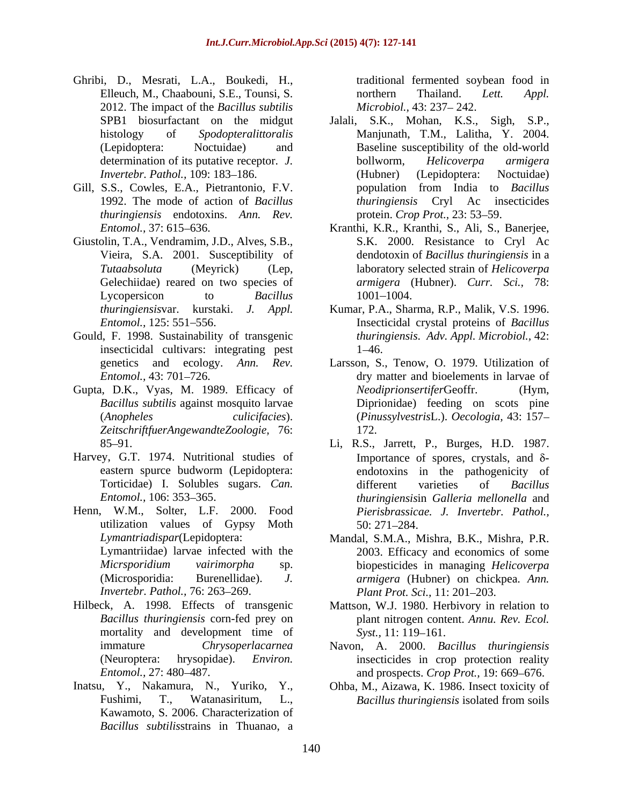- Ghribi, D., Mesrati, L.A., Boukedi, H., Elleuch, M., Chaabouni, S.E., Tounsi, S. The energy applies of the energy of the energy of the energy of the energy of the energy of the energy of the energy of the energy of the energy of the energy of the energy of the e 2012. The impact of the *Bacillus subtilis*
- 1992. The mode of action of *Bacillus thuringiensis* endotoxins. *Ann. Rev.*
- Giustolin, T.A., Vendramim, J.D., Alves, S.B., Gelechiidae) reared on two species of
- Gould, F. 1998. Sustainability of transgenic insecticidal cultivars: integrating pest
- *ZeitschriftfuerAngewandteZoologie,* 76:
- Harvey, G.T. 1974. Nutritional studies of
- Henn, W.M., Solter, L.F. 2000. Food utilization values of Gypsy Moth 50: 271–284. *Invertebr. Pathol., 76: 263-269.*
- mortality and development time of Syst., 11: 119–161.
- Inatsu, Y., Nakamura, N., Yuriko, Y., Ohba, M., Aizawa, K. 1986. Insect toxicity of Kawamoto, S. 2006. Characterization of *Bacillus subtilis*strains in Thuanao, a

traditional fermented soybean food in northern Thailand. *Lett. Appl. Microbiol., 43: 237-242.* 

- SPB1 biosurfactant on the midgut Jalali, S.K., Mohan, K.S., Sigh, S.P., histology of *Spodopteralittoralis* Manjunath, T.M., Lalitha, Y. 2004. (Lepidoptera: Noctuidae) and Baseline susceptibility of the old-world determination of its putative receptor. *J.* bollworm, *Helicoverpa armigera Invertebr. Pathol.,* 109: 183–186. (Hubner) (Lepidoptera: Noctuidae) Gill, S.S., Cowles, E.A., Pietrantonio, F.V. population from India to Bacillus bollworm, *Helicoverpa armigera* (Hubner) (Lepidoptera: Noctuidae) population from India to *Bacillus thuringiensis* Cryl Ac insecticides protein. *Crop Prot.*, 23: 53–59.
	- *Entomol.,* 37: 615 636. Kranthi, K.R., Kranthi, S., Ali, S., Banerjee, Vieira, S.A. 2001. Susceptibility of dendotoxin of *Bacillus thuringiensis* in a *Tutaabsoluta* (Meyrick) (Lep, laboratory selected strain of *Helicoverpa*  Lycopersicon to *Bacillus* 1001–1004. S.K. 2000. Resistance to Cryl Ac *armigera* (Hubner). *Curr. Sci.,* 78: 1001 1004.
	- *thuringiensis*var. kurstaki. *J. Appl.* Kumar, P.A., Sharma, R.P., Malik, V.S. 1996. *Entomol.,* 125: 551 556. Insecticidal crystal proteins of *Bacillus thuringiensis*. *Adv. Appl. Microbiol.,* 42: 1–46.
- genetics and ecology. *Ann. Rev.* Larsson, S., Tenow, O. 1979. Utilization of *Entomol.*, 43: 701–726. **dry matter and bioelements in larvae of** Gupta, D.K., Vyas, M. 1989. Efficacy of *Neodiprionsertifer* Geoffr. (Hym. *Bacillus subtilis* against mosquito larvae Diprionidae) feeding on scots pine (*Anopheles culicifacies*). (*Pinussylvestris*L.). *Oecologia,* 43: 157  $N eodiprionsertiferGeoffr.$ 172.
	- 85 91. Li, R.S., Jarrett, P., Burges, H.D. 1987. eastern spurce budworm (Lepidoptera: endotoxins in the pathogenicity of Torticidae) I. Solubles sugars. *Can. Entomol.,* 106: 353 365. *thuringiensis*in *Galleria mellonella* and Importance of spores, crystals, and  $\delta$ different varieties of *Bacillus Pierisbrassicae. J. Invertebr. Pathol.,* 50: 271 284.
	- *Lymantriadispar*(Lepidoptera: Mandal, S.M.A., Mishra, B.K., Mishra, P.R. Lymantriidae) larvae infected with the 2003. Efficacy and economics of some *Micrsporidium vairimorpha* sp. biopesticides in managing *Helicoverpa*  (Microsporidia: Burenellidae). *J. armigera* (Hubner) on chickpea. *Ann. Plant Prot. Sci., 11: 201-203.*
- Hilbeck, A. 1998. Effects of transgenic Mattson, W.J. 1980. Herbivory in relation to *Bacillus thuringiensis* corn-fed prey on plant nitrogen content. *Annu. Rev. Ecol. Syst.,* 11: 119–161.
	- immature *Chrysoperlacarnea* Navon, A. 2000. *Bacillus thuringiensis* (Neuroptera: hrysopidae). *Environ.*  insecticides in crop protection reality *Entomol.,* 27: 480–487. **and prospects.** *Crop Prot.*, 19: 669–676.
	- Fushimi, T., Watanasiritum, L., Bacillus thuringiensis isolated from soils *Bacillus thuringiensis* isolated from soils